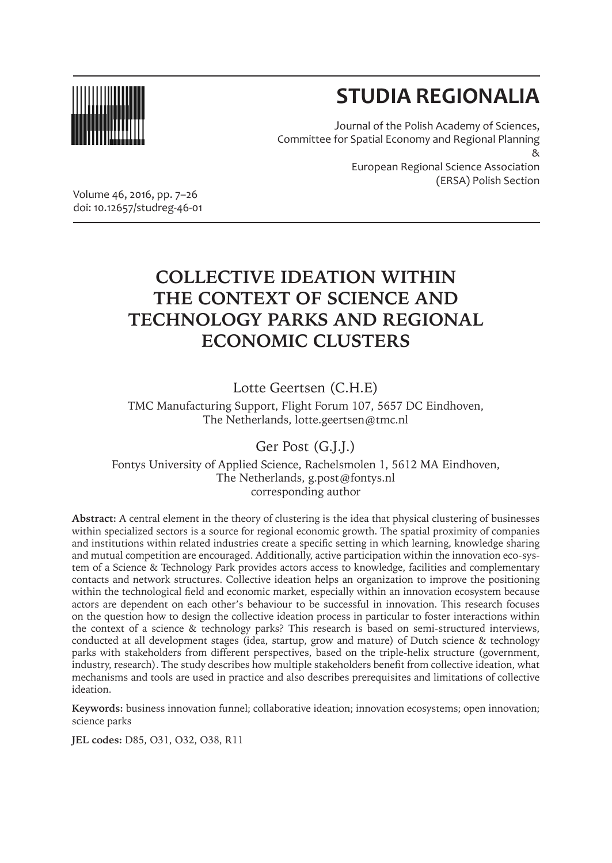

# **STUDIA REGIONALIA**

Journal of the Polish Academy of Sciences, Committee for Spatial Economy and Regional Planning & European Regional Science Association (ERSA) Polish Section

Volume 46, 2016, pp. 7–26 doi: 10.12657/studreg-46-01

## **COLLECTIVE IDEATION WITHIN THE CONTEXT OF SCIENCE AND TECHNOLOGY PARKS AND REGIONAL ECONOMIC CLUSTERS**

Lotte Geertsen (C.H.E)

TMC Manufacturing Support, Flight Forum 107, 5657 DC Eindhoven, The Netherlands, lotte.geertsen@tmc.nl

Ger Post (G.J.J.)

Fontys University of Applied Science, Rachelsmolen 1, 5612 MA Eindhoven, The Netherlands, g.post@fontys.nl corresponding author

**Abstract:** A central element in the theory of clustering is the idea that physical clustering of businesses within specialized sectors is a source for regional economic growth. The spatial proximity of companies and institutions within related industries create a specific setting in which learning, knowledge sharing and mutual competition are encouraged. Additionally, active participation within the innovation eco-system of a Science & Technology Park provides actors access to knowledge, facilities and complementary contacts and network structures. Collective ideation helps an organization to improve the positioning within the technological field and economic market, especially within an innovation ecosystem because actors are dependent on each other's behaviour to be successful in innovation. This research focuses on the question how to design the collective ideation process in particular to foster interactions within the context of a science & technology parks? This research is based on semi-structured interviews, conducted at all development stages (idea, startup, grow and mature) of Dutch science & technology parks with stakeholders from different perspectives, based on the triple-helix structure (government, industry, research). The study describes how multiple stakeholders benefit from collective ideation, what mechanisms and tools are used in practice and also describes prerequisites and limitations of collective ideation.

**Keywords:** business innovation funnel; collaborative ideation; innovation ecosystems; open innovation; science parks

**JEL codes:** D85, O31, O32, O38, R11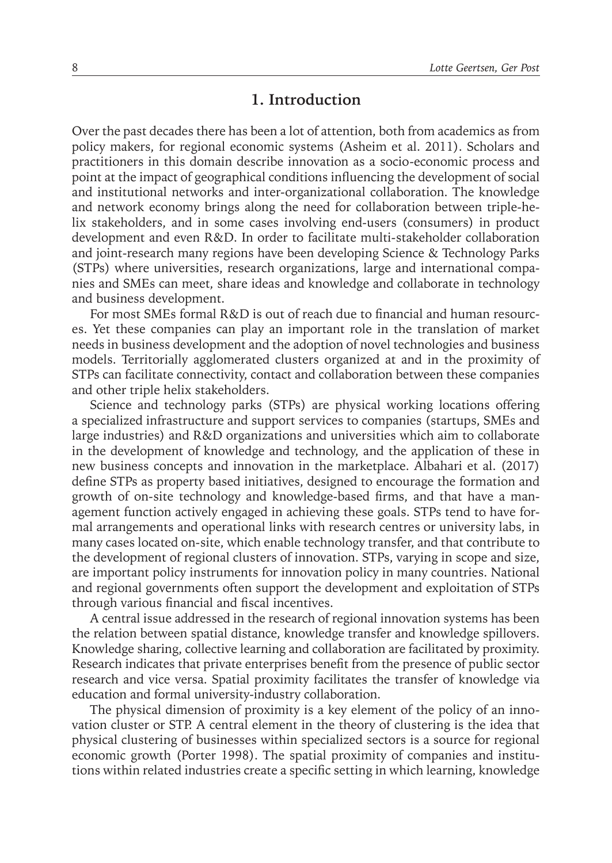## **1. Introduction**

Over the past decades there has been a lot of attention, both from academics as from policy makers, for regional economic systems (Asheim et al. 2011). Scholars and practitioners in this domain describe innovation as a socio-economic process and point at the impact of geographical conditions influencing the development of social and institutional networks and inter-organizational collaboration. The knowledge and network economy brings along the need for collaboration between triple-helix stakeholders, and in some cases involving end-users (consumers) in product development and even R&D. In order to facilitate multi-stakeholder collaboration and joint-research many regions have been developing Science & Technology Parks (STPs) where universities, research organizations, large and international companies and SMEs can meet, share ideas and knowledge and collaborate in technology and business development.

For most SMEs formal R&D is out of reach due to financial and human resources. Yet these companies can play an important role in the translation of market needs in business development and the adoption of novel technologies and business models. Territorially agglomerated clusters organized at and in the proximity of STPs can facilitate connectivity, contact and collaboration between these companies and other triple helix stakeholders.

Science and technology parks (STPs) are physical working locations offering a specialized infrastructure and support services to companies (startups, SMEs and large industries) and R&D organizations and universities which aim to collaborate in the development of knowledge and technology, and the application of these in new business concepts and innovation in the marketplace. Albahari et al. (2017) define STPs as property based initiatives, designed to encourage the formation and growth of on-site technology and knowledge-based firms, and that have a management function actively engaged in achieving these goals. STPs tend to have formal arrangements and operational links with research centres or university labs, in many cases located on-site, which enable technology transfer, and that contribute to the development of regional clusters of innovation. STPs, varying in scope and size, are important policy instruments for innovation policy in many countries. National and regional governments often support the development and exploitation of STPs through various financial and fiscal incentives.

A central issue addressed in the research of regional innovation systems has been the relation between spatial distance, knowledge transfer and knowledge spillovers. Knowledge sharing, collective learning and collaboration are facilitated by proximity. Research indicates that private enterprises benefit from the presence of public sector research and vice versa. Spatial proximity facilitates the transfer of knowledge via education and formal university-industry collaboration.

The physical dimension of proximity is a key element of the policy of an innovation cluster or STP. A central element in the theory of clustering is the idea that physical clustering of businesses within specialized sectors is a source for regional economic growth (Porter 1998). The spatial proximity of companies and institutions within related industries create a specific setting in which learning, knowledge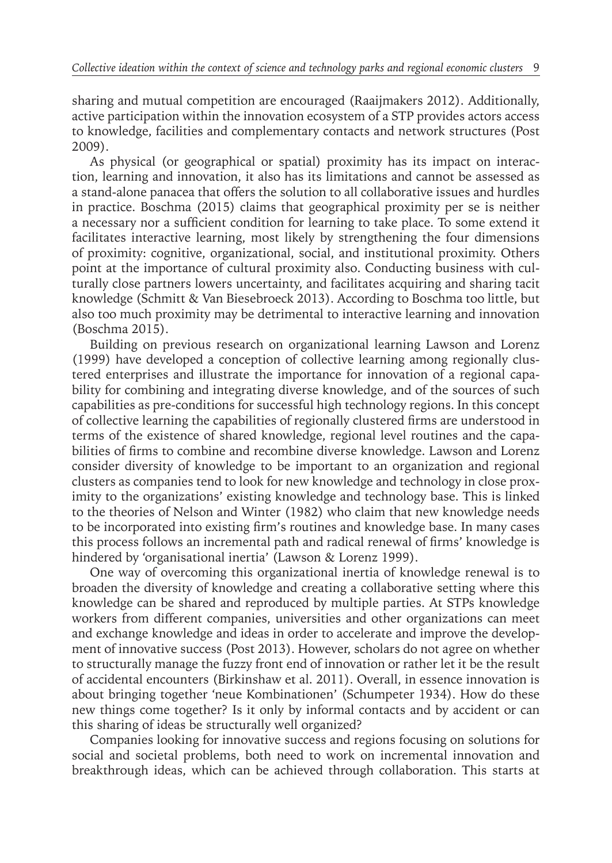sharing and mutual competition are encouraged (Raaijmakers 2012). Additionally, active participation within the innovation ecosystem of a STP provides actors access to knowledge, facilities and complementary contacts and network structures (Post 2009).

As physical (or geographical or spatial) proximity has its impact on interaction, learning and innovation, it also has its limitations and cannot be assessed as a stand-alone panacea that offers the solution to all collaborative issues and hurdles in practice. Boschma (2015) claims that geographical proximity per se is neither a necessary nor a sufficient condition for learning to take place. To some extend it facilitates interactive learning, most likely by strengthening the four dimensions of proximity: cognitive, organizational, social, and institutional proximity. Others point at the importance of cultural proximity also. Conducting business with culturally close partners lowers uncertainty, and facilitates acquiring and sharing tacit knowledge (Schmitt & Van Biesebroeck 2013). According to Boschma too little, but also too much proximity may be detrimental to interactive learning and innovation (Boschma 2015).

Building on previous research on organizational learning Lawson and Lorenz (1999) have developed a conception of collective learning among regionally clustered enterprises and illustrate the importance for innovation of a regional capability for combining and integrating diverse knowledge, and of the sources of such capabilities as pre-conditions for successful high technology regions. In this concept of collective learning the capabilities of regionally clustered firms are understood in terms of the existence of shared knowledge, regional level routines and the capabilities of firms to combine and recombine diverse knowledge. Lawson and Lorenz consider diversity of knowledge to be important to an organization and regional clusters as companies tend to look for new knowledge and technology in close proximity to the organizations' existing knowledge and technology base. This is linked to the theories of Nelson and Winter (1982) who claim that new knowledge needs to be incorporated into existing firm's routines and knowledge base. In many cases this process follows an incremental path and radical renewal of firms' knowledge is hindered by 'organisational inertia' (Lawson & Lorenz 1999).

One way of overcoming this organizational inertia of knowledge renewal is to broaden the diversity of knowledge and creating a collaborative setting where this knowledge can be shared and reproduced by multiple parties. At STPs knowledge workers from different companies, universities and other organizations can meet and exchange knowledge and ideas in order to accelerate and improve the development of innovative success (Post 2013). However, scholars do not agree on whether to structurally manage the fuzzy front end of innovation or rather let it be the result of accidental encounters (Birkinshaw et al. 2011). Overall, in essence innovation is about bringing together 'neue Kombinationen' (Schumpeter 1934). How do these new things come together? Is it only by informal contacts and by accident or can this sharing of ideas be structurally well organized?

Companies looking for innovative success and regions focusing on solutions for social and societal problems, both need to work on incremental innovation and breakthrough ideas, which can be achieved through collaboration. This starts at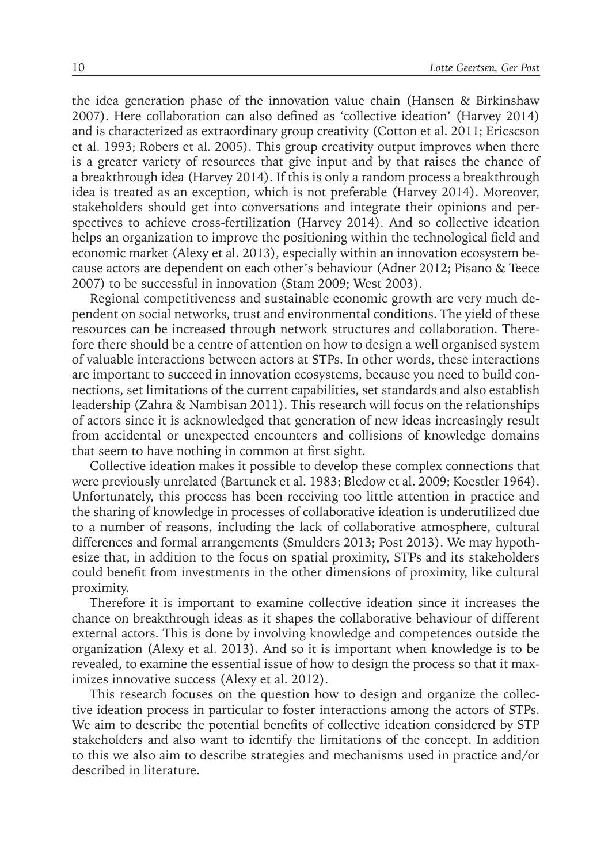the idea generation phase of the innovation value chain (Hansen & Birkinshaw 2007). Here collaboration can also defined as 'collective ideation' (Harvey 2014) and is characterized as extraordinary group creativity (Cotton et al. 2011; Ericscson et al. 1993; Robers et al. 2005). This group creativity output improves when there is a greater variety of resources that give input and by that raises the chance of a breakthrough idea (Harvey 2014). If this is only a random process a breakthrough idea is treated as an exception, which is not preferable (Harvey 2014). Moreover, stakeholders should get into conversations and integrate their opinions and perspectives to achieve cross-fertilization (Harvey 2014). And so collective ideation helps an organization to improve the positioning within the technological field and economic market (Alexy et al. 2013), especially within an innovation ecosystem because actors are dependent on each other's behaviour (Adner 2012; Pisano & Teece 2007) to be successful in innovation (Stam 2009; West 2003).

Regional competitiveness and sustainable economic growth are very much dependent on social networks, trust and environmental conditions. The yield of these resources can be increased through network structures and collaboration. Therefore there should be a centre of attention on how to design a well organised system of valuable interactions between actors at STPs. In other words, these interactions are important to succeed in innovation ecosystems, because you need to build connections, set limitations of the current capabilities, set standards and also establish leadership (Zahra & Nambisan 2011). This research will focus on the relationships of actors since it is acknowledged that generation of new ideas increasingly result from accidental or unexpected encounters and collisions of knowledge domains that seem to have nothing in common at first sight.

Collective ideation makes it possible to develop these complex connections that were previously unrelated (Bartunek et al. 1983; Bledow et al. 2009; Koestler 1964). Unfortunately, this process has been receiving too little attention in practice and the sharing of knowledge in processes of collaborative ideation is underutilized due to a number of reasons, including the lack of collaborative atmosphere, cultural differences and formal arrangements (Smulders 2013; Post 2013). We may hypothesize that, in addition to the focus on spatial proximity, STPs and its stakeholders could benefit from investments in the other dimensions of proximity, like cultural proximity.

Therefore it is important to examine collective ideation since it increases the chance on breakthrough ideas as it shapes the collaborative behaviour of different external actors. This is done by involving knowledge and competences outside the organization (Alexy et al. 2013). And so it is important when knowledge is to be revealed, to examine the essential issue of how to design the process so that it maximizes innovative success (Alexy et al. 2012).

This research focuses on the question how to design and organize the collective ideation process in particular to foster interactions among the actors of STPs. We aim to describe the potential benefits of collective ideation considered by STP stakeholders and also want to identify the limitations of the concept. In addition to this we also aim to describe strategies and mechanisms used in practice and/or described in literature.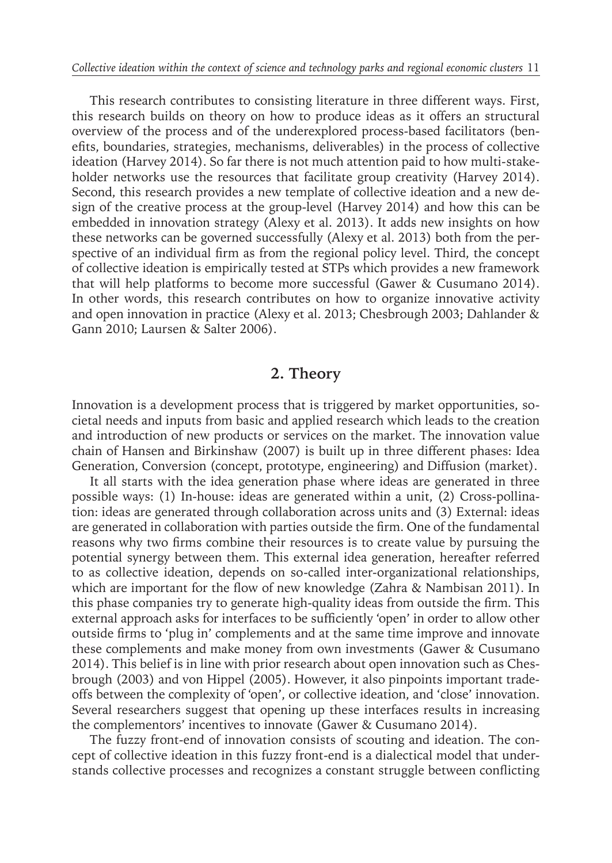This research contributes to consisting literature in three different ways. First, this research builds on theory on how to produce ideas as it offers an structural overview of the process and of the underexplored process-based facilitators (benefits, boundaries, strategies, mechanisms, deliverables) in the process of collective ideation (Harvey 2014). So far there is not much attention paid to how multi-stakeholder networks use the resources that facilitate group creativity (Harvey 2014). Second, this research provides a new template of collective ideation and a new design of the creative process at the group-level (Harvey 2014) and how this can be embedded in innovation strategy (Alexy et al. 2013). It adds new insights on how these networks can be governed successfully (Alexy et al. 2013) both from the perspective of an individual firm as from the regional policy level. Third, the concept of collective ideation is empirically tested at STPs which provides a new framework that will help platforms to become more successful (Gawer & Cusumano 2014). In other words, this research contributes on how to organize innovative activity and open innovation in practice (Alexy et al. 2013; Chesbrough 2003; Dahlander & Gann 2010; Laursen & Salter 2006).

### **2. Theory**

Innovation is a development process that is triggered by market opportunities, societal needs and inputs from basic and applied research which leads to the creation and introduction of new products or services on the market. The innovation value chain of Hansen and Birkinshaw (2007) is built up in three different phases: Idea Generation, Conversion (concept, prototype, engineering) and Diffusion (market).

It all starts with the idea generation phase where ideas are generated in three possible ways: (1) In-house: ideas are generated within a unit, (2) Cross-pollination: ideas are generated through collaboration across units and (3) External: ideas are generated in collaboration with parties outside the firm. One of the fundamental reasons why two firms combine their resources is to create value by pursuing the potential synergy between them. This external idea generation, hereafter referred to as collective ideation, depends on so-called inter-organizational relationships, which are important for the flow of new knowledge (Zahra & Nambisan 2011). In this phase companies try to generate high-quality ideas from outside the firm. This external approach asks for interfaces to be sufficiently 'open' in order to allow other outside firms to 'plug in' complements and at the same time improve and innovate these complements and make money from own investments (Gawer & Cusumano 2014). This belief is in line with prior research about open innovation such as Chesbrough (2003) and von Hippel (2005). However, it also pinpoints important tradeoffs between the complexity of 'open', or collective ideation, and 'close' innovation. Several researchers suggest that opening up these interfaces results in increasing the complementors' incentives to innovate (Gawer & Cusumano 2014).

The fuzzy front-end of innovation consists of scouting and ideation. The concept of collective ideation in this fuzzy front-end is a dialectical model that understands collective processes and recognizes a constant struggle between conflicting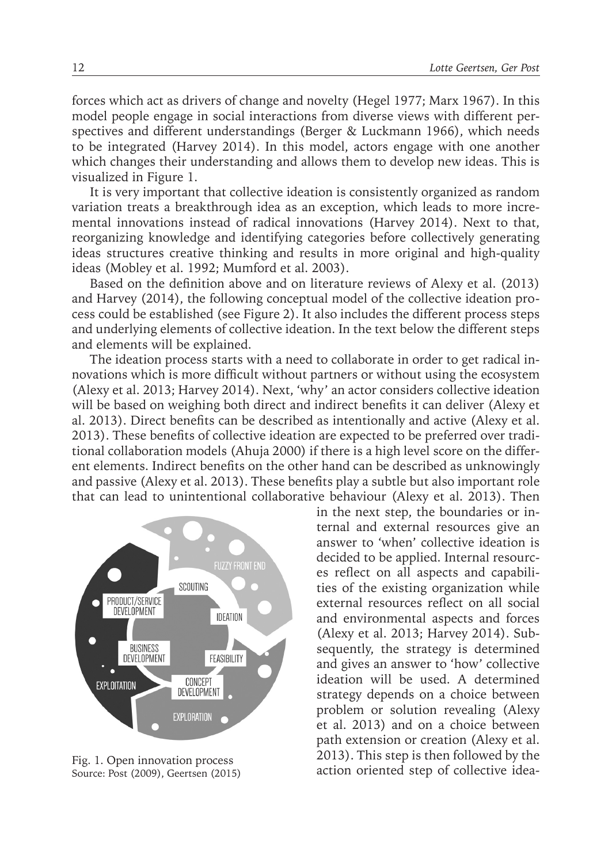forces which act as drivers of change and novelty (Hegel 1977; Marx 1967). In this model people engage in social interactions from diverse views with different perspectives and different understandings (Berger & Luckmann 1966), which needs to be integrated (Harvey 2014). In this model, actors engage with one another which changes their understanding and allows them to develop new ideas. This is visualized in Figure 1.

It is very important that collective ideation is consistently organized as random variation treats a breakthrough idea as an exception, which leads to more incremental innovations instead of radical innovations (Harvey 2014). Next to that, reorganizing knowledge and identifying categories before collectively generating ideas structures creative thinking and results in more original and high-quality ideas (Mobley et al. 1992; Mumford et al. 2003).

Based on the definition above and on literature reviews of Alexy et al. (2013) and Harvey (2014), the following conceptual model of the collective ideation process could be established (see Figure 2). It also includes the different process steps and underlying elements of collective ideation. In the text below the different steps and elements will be explained.

The ideation process starts with a need to collaborate in order to get radical innovations which is more difficult without partners or without using the ecosystem (Alexy et al. 2013; Harvey 2014). Next, 'why' an actor considers collective ideation will be based on weighing both direct and indirect benefits it can deliver (Alexy et al. 2013). Direct benefits can be described as intentionally and active (Alexy et al. 2013). These benefits of collective ideation are expected to be preferred over traditional collaboration models (Ahuja 2000) if there is a high level score on the different elements. Indirect benefits on the other hand can be described as unknowingly and passive (Alexy et al. 2013). These benefits play a subtle but also important role that can lead to unintentional collaborative behaviour (Alexy et al. 2013). Then



Source: Post (2009), Geertsen (2015)

in the next step, the boundaries or internal and external resources give an answer to 'when' collective ideation is decided to be applied. Internal resources reflect on all aspects and capabilities of the existing organization while external resources reflect on all social and environmental aspects and forces (Alexy et al. 2013; Harvey 2014). Subsequently, the strategy is determined and gives an answer to 'how' collective ideation will be used. A determined strategy depends on a choice between problem or solution revealing (Alexy et al. 2013) and on a choice between path extension or creation (Alexy et al. 2013). This step is then followed by the Fig. 1. Open innovation process<br>Source: Post (2009). Geertsen (2015) **Fig. 2015** action oriented step of collective idea-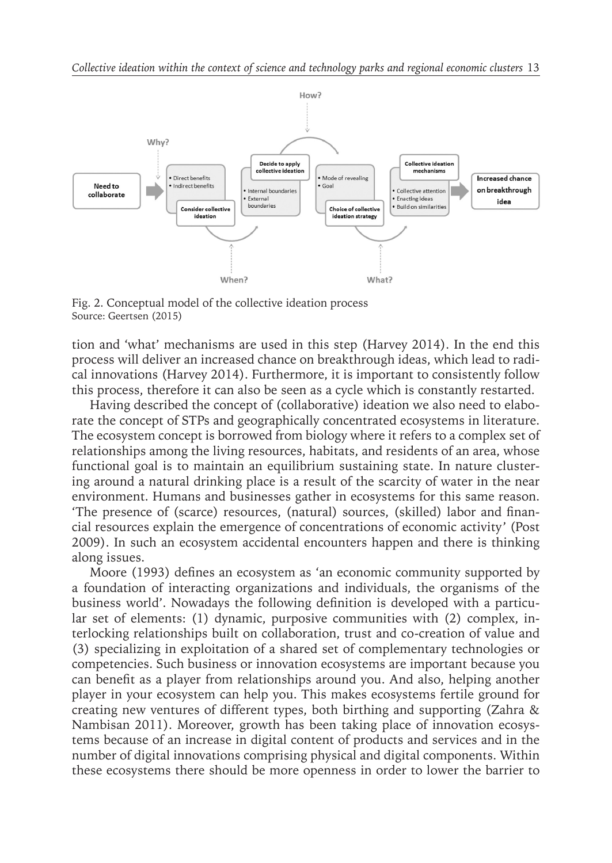

Fig. 2. Conceptual model of the collective ideation process Source: Geertsen (2015)

tion and 'what' mechanisms are used in this step (Harvey 2014). In the end this process will deliver an increased chance on breakthrough ideas, which lead to radical innovations (Harvey 2014). Furthermore, it is important to consistently follow this process, therefore it can also be seen as a cycle which is constantly restarted.

Having described the concept of (collaborative) ideation we also need to elaborate the concept of STPs and geographically concentrated ecosystems in literature. The ecosystem concept is borrowed from biology where it refers to a complex set of relationships among the living resources, habitats, and residents of an area, whose functional goal is to maintain an equilibrium sustaining state. In nature clustering around a natural drinking place is a result of the scarcity of water in the near environment. Humans and businesses gather in ecosystems for this same reason. 'The presence of (scarce) resources, (natural) sources, (skilled) labor and financial resources explain the emergence of concentrations of economic activity' (Post 2009). In such an ecosystem accidental encounters happen and there is thinking along issues.

Moore (1993) defines an ecosystem as 'an economic community supported by a foundation of interacting organizations and individuals, the organisms of the business world'. Nowadays the following definition is developed with a particular set of elements: (1) dynamic, purposive communities with (2) complex, interlocking relationships built on collaboration, trust and co-creation of value and (3) specializing in exploitation of a shared set of complementary technologies or competencies. Such business or innovation ecosystems are important because you can benefit as a player from relationships around you. And also, helping another player in your ecosystem can help you. This makes ecosystems fertile ground for creating new ventures of different types, both birthing and supporting (Zahra & Nambisan 2011). Moreover, growth has been taking place of innovation ecosystems because of an increase in digital content of products and services and in the number of digital innovations comprising physical and digital components. Within these ecosystems there should be more openness in order to lower the barrier to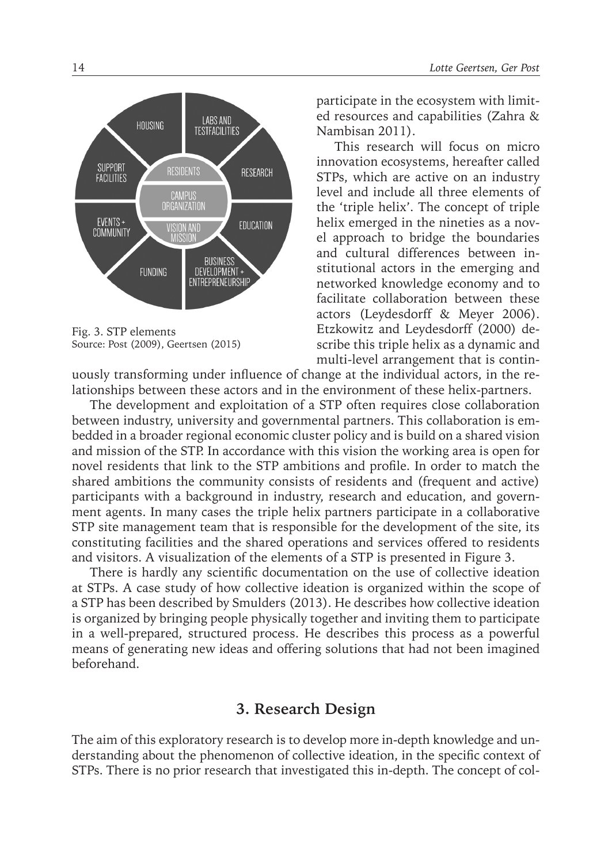

Fig. 3. STP elements Source: Post (2009), Geertsen (2015)

participate in the ecosystem with limited resources and capabilities (Zahra & Nambisan 2011).

This research will focus on micro innovation ecosystems, hereafter called STPs, which are active on an industry level and include all three elements of the 'triple helix'. The concept of triple helix emerged in the nineties as a novel approach to bridge the boundaries and cultural differences between institutional actors in the emerging and networked knowledge economy and to facilitate collaboration between these actors (Leydesdorff & Meyer 2006). Etzkowitz and Leydesdorff (2000) describe this triple helix as a dynamic and multi-level arrangement that is contin-

uously transforming under influence of change at the individual actors, in the relationships between these actors and in the environment of these helix-partners.

The development and exploitation of a STP often requires close collaboration between industry, university and governmental partners. This collaboration is embedded in a broader regional economic cluster policy and is build on a shared vision and mission of the STP. In accordance with this vision the working area is open for novel residents that link to the STP ambitions and profile. In order to match the shared ambitions the community consists of residents and (frequent and active) participants with a background in industry, research and education, and government agents. In many cases the triple helix partners participate in a collaborative STP site management team that is responsible for the development of the site, its constituting facilities and the shared operations and services offered to residents and visitors. A visualization of the elements of a STP is presented in Figure 3.

There is hardly any scientific documentation on the use of collective ideation at STPs. A case study of how collective ideation is organized within the scope of a STP has been described by Smulders (2013). He describes how collective ideation is organized by bringing people physically together and inviting them to participate in a well-prepared, structured process. He describes this process as a powerful means of generating new ideas and offering solutions that had not been imagined beforehand.

## **3. Research Design**

The aim of this exploratory research is to develop more in-depth knowledge and understanding about the phenomenon of collective ideation, in the specific context of STPs. There is no prior research that investigated this in-depth. The concept of col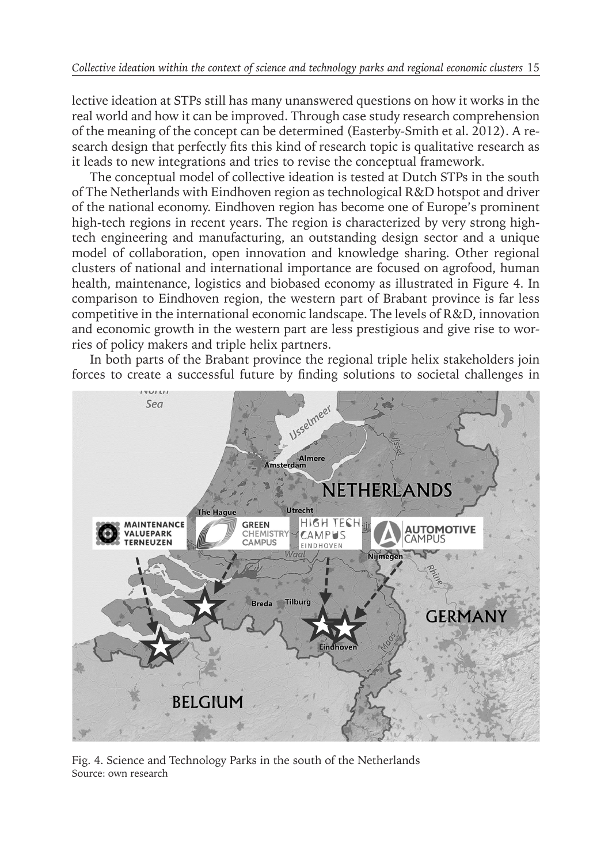lective ideation at STPs still has many unanswered questions on how it works in the real world and how it can be improved. Through case study research comprehension of the meaning of the concept can be determined (Easterby-Smith et al. 2012). A research design that perfectly fits this kind of research topic is qualitative research as it leads to new integrations and tries to revise the conceptual framework.

The conceptual model of collective ideation is tested at Dutch STPs in the south of The Netherlands with Eindhoven region as technological R&D hotspot and driver of the national economy. Eindhoven region has become one of Europe's prominent high-tech regions in recent years. The region is characterized by very strong hightech engineering and manufacturing, an outstanding design sector and a unique model of collaboration, open innovation and knowledge sharing. Other regional clusters of national and international importance are focused on agrofood, human health, maintenance, logistics and biobased economy as illustrated in Figure 4. In comparison to Eindhoven region, the western part of Brabant province is far less competitive in the international economic landscape. The levels of R&D, innovation and economic growth in the western part are less prestigious and give rise to worries of policy makers and triple helix partners.

In both parts of the Brabant province the regional triple helix stakeholders join forces to create a successful future by finding solutions to societal challenges in



Fig. 4. Science and Technology Parks in the south of the Netherlands Source: own research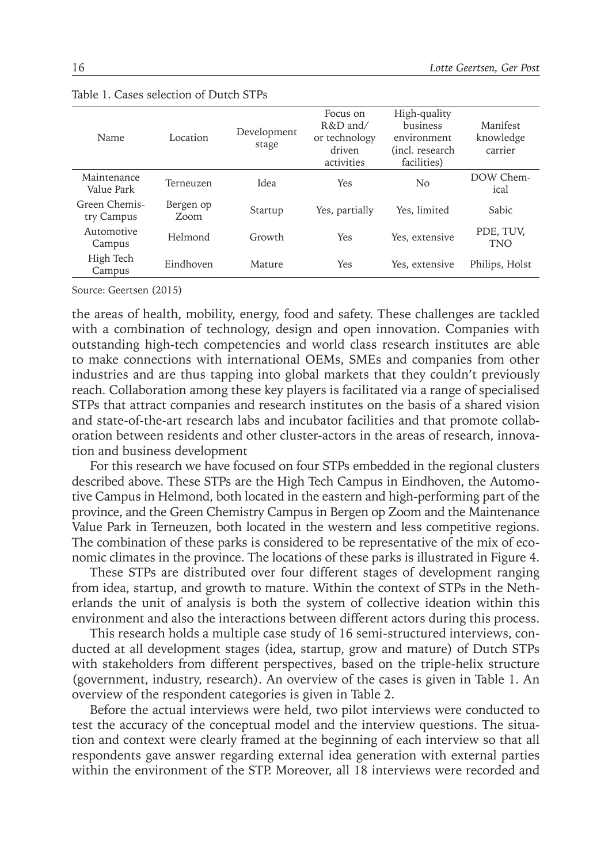| Name                        | Location          | Development<br>stage | Focus on<br>R&D and/<br>or technology<br>driven<br>activities | High-quality<br>business<br>environment<br>(incl. research<br>facilities) | Manifest<br>knowledge<br>carrier |
|-----------------------------|-------------------|----------------------|---------------------------------------------------------------|---------------------------------------------------------------------------|----------------------------------|
| Maintenance<br>Value Park   | Terneuzen         | Idea                 | Yes                                                           | No                                                                        | DOW Chem-<br>ical                |
| Green Chemis-<br>try Campus | Bergen op<br>Zoom | Startup              | Yes, partially                                                | Yes. limited                                                              | <b>Sabic</b>                     |
| Automotive<br>Campus        | Helmond           | Growth               | <b>Yes</b>                                                    | Yes, extensive                                                            | PDE, TUV,<br>TNO                 |
| High Tech<br>Campus         | Eindhoven         | Mature               | Yes                                                           | Yes, extensive                                                            | Philips, Holst                   |

#### Table 1. Cases selection of Dutch STPs

Source: Geertsen (2015)

the areas of health, mobility, energy, food and safety. These challenges are tackled with a combination of technology, design and open innovation. Companies with outstanding high-tech competencies and world class research institutes are able to make connections with international OEMs, SMEs and companies from other industries and are thus tapping into global markets that they couldn't previously reach. Collaboration among these key players is facilitated via a range of specialised STPs that attract companies and research institutes on the basis of a shared vision and state-of-the-art research labs and incubator facilities and that promote collaboration between residents and other cluster-actors in the areas of research, innovation and business development

For this research we have focused on four STPs embedded in the regional clusters described above. These STPs are the High Tech Campus in Eindhoven, the Automotive Campus in Helmond, both located in the eastern and high-performing part of the province, and the Green Chemistry Campus in Bergen op Zoom and the Maintenance Value Park in Terneuzen, both located in the western and less competitive regions. The combination of these parks is considered to be representative of the mix of economic climates in the province. The locations of these parks is illustrated in Figure 4.

These STPs are distributed over four different stages of development ranging from idea, startup, and growth to mature. Within the context of STPs in the Netherlands the unit of analysis is both the system of collective ideation within this environment and also the interactions between different actors during this process.

This research holds a multiple case study of 16 semi-structured interviews, conducted at all development stages (idea, startup, grow and mature) of Dutch STPs with stakeholders from different perspectives, based on the triple-helix structure (government, industry, research). An overview of the cases is given in Table 1. An overview of the respondent categories is given in Table 2.

Before the actual interviews were held, two pilot interviews were conducted to test the accuracy of the conceptual model and the interview questions. The situation and context were clearly framed at the beginning of each interview so that all respondents gave answer regarding external idea generation with external parties within the environment of the STP. Moreover, all 18 interviews were recorded and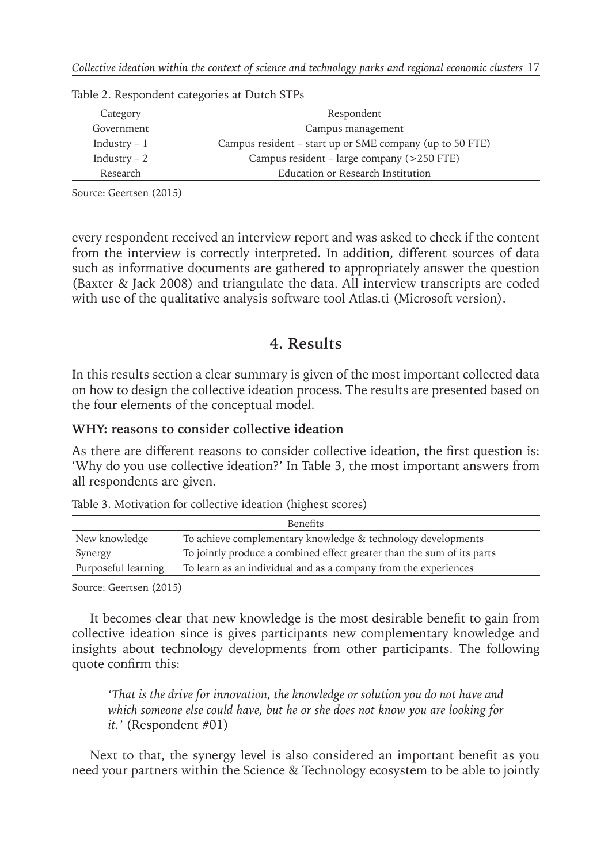| Category      | Respondent                                               |
|---------------|----------------------------------------------------------|
| Government    | Campus management                                        |
| Industry $-1$ | Campus resident – start up or SME company (up to 50 FTE) |
| Industry $-2$ | Campus resident – large company (>250 FTE)               |
| Research      | Education or Research Institution                        |

Table 2. Respondent categories at Dutch STPs

Source: Geertsen (2015)

every respondent received an interview report and was asked to check if the content from the interview is correctly interpreted. In addition, different sources of data such as informative documents are gathered to appropriately answer the question (Baxter & Jack 2008) and triangulate the data. All interview transcripts are coded with use of the qualitative analysis software tool Atlas.ti (Microsoft version).

## **4. Results**

In this results section a clear summary is given of the most important collected data on how to design the collective ideation process. The results are presented based on the four elements of the conceptual model.

## **WHY: reasons to consider collective ideation**

As there are different reasons to consider collective ideation, the first question is: 'Why do you use collective ideation?' In Table 3, the most important answers from all respondents are given.

| <b>Benefits</b>     |                                                                        |  |
|---------------------|------------------------------------------------------------------------|--|
| New knowledge       | To achieve complementary knowledge & technology developments           |  |
| Synergy             | To jointly produce a combined effect greater than the sum of its parts |  |
| Purposeful learning | To learn as an individual and as a company from the experiences        |  |
|                     |                                                                        |  |

Source: Geertsen (2015)

It becomes clear that new knowledge is the most desirable benefit to gain from collective ideation since is gives participants new complementary knowledge and insights about technology developments from other participants. The following quote confirm this:

*'That is the drive for innovation, the knowledge or solution you do not have and which someone else could have, but he or she does not know you are looking for it.'* (Respondent #01)

Next to that, the synergy level is also considered an important benefit as you need your partners within the Science & Technology ecosystem to be able to jointly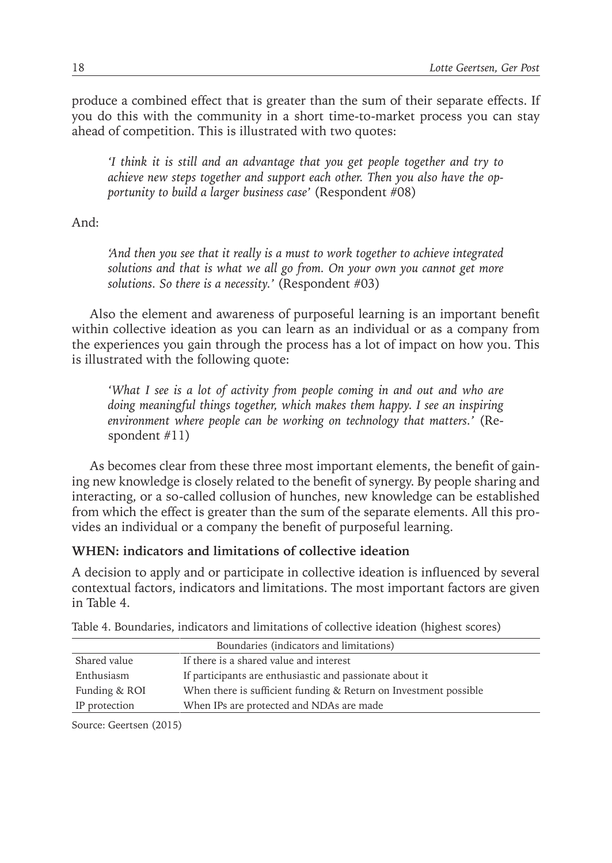produce a combined effect that is greater than the sum of their separate effects. If you do this with the community in a short time-to-market process you can stay ahead of competition. This is illustrated with two quotes:

*'I think it is still and an advantage that you get people together and try to achieve new steps together and support each other. Then you also have the opportunity to build a larger business case'* (Respondent #08)

And:

*'And then you see that it really is a must to work together to achieve integrated*  solutions and that is what we all go from. On your own you cannot get more *solutions. So there is a necessity.'* (Respondent #03)

Also the element and awareness of purposeful learning is an important benefit within collective ideation as you can learn as an individual or as a company from the experiences you gain through the process has a lot of impact on how you. This is illustrated with the following quote:

*'What I see is a lot of activity from people coming in and out and who are doing meaningful things together, which makes them happy. I see an inspiring environment where people can be working on technology that matters.'* (Respondent #11)

As becomes clear from these three most important elements, the benefit of gaining new knowledge is closely related to the benefit of synergy. By people sharing and interacting, or a so-called collusion of hunches, new knowledge can be established from which the effect is greater than the sum of the separate elements. All this provides an individual or a company the benefit of purposeful learning.

#### **WHEN: indicators and limitations of collective ideation**

A decision to apply and or participate in collective ideation is influenced by several contextual factors, indicators and limitations. The most important factors are given in Table 4.

|               | Boundaries (indicators and limitations)                          |
|---------------|------------------------------------------------------------------|
| Shared value  | If there is a shared value and interest                          |
| Enthusiasm    | If participants are enthusiastic and passionate about it         |
| Funding & ROI | When there is sufficient funding & Return on Investment possible |
| IP protection | When IPs are protected and NDAs are made                         |

Table 4. Boundaries, indicators and limitations of collective ideation (highest scores)

Source: Geertsen (2015)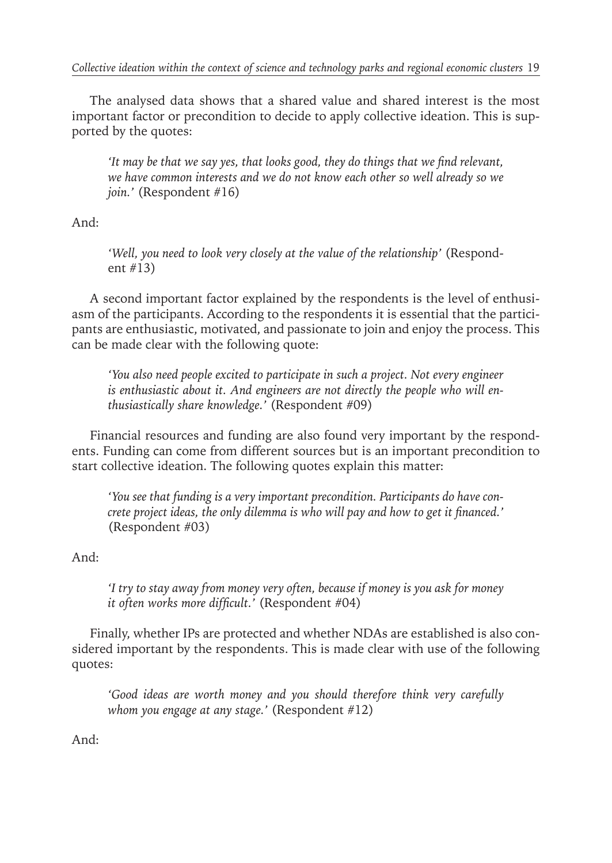The analysed data shows that a shared value and shared interest is the most important factor or precondition to decide to apply collective ideation. This is supported by the quotes:

*'It may be that we say yes, that looks good, they do things that we find relevant, we have common interests and we do not know each other so well already so we join.'* (Respondent #16)

And:

*'Well, you need to look very closely at the value of the relationship'* (Respondent #13)

A second important factor explained by the respondents is the level of enthusiasm of the participants. According to the respondents it is essential that the participants are enthusiastic, motivated, and passionate to join and enjoy the process. This can be made clear with the following quote:

*'You also need people excited to participate in such a project. Not every engineer is enthusiastic about it. And engineers are not directly the people who will enthusiastically share knowledge.'* (Respondent #09)

Financial resources and funding are also found very important by the respondents. Funding can come from different sources but is an important precondition to start collective ideation. The following quotes explain this matter:

*'You see that funding is a very important precondition. Participants do have concrete project ideas, the only dilemma is who will pay and how to get it financed.'* (Respondent #03)

And:

*'I try to stay away from money very often, because if money is you ask for money it often works more difficult.'* (Respondent #04)

Finally, whether IPs are protected and whether NDAs are established is also considered important by the respondents. This is made clear with use of the following quotes:

*'Good ideas are worth money and you should therefore think very carefully whom you engage at any stage.'* (Respondent #12)

And: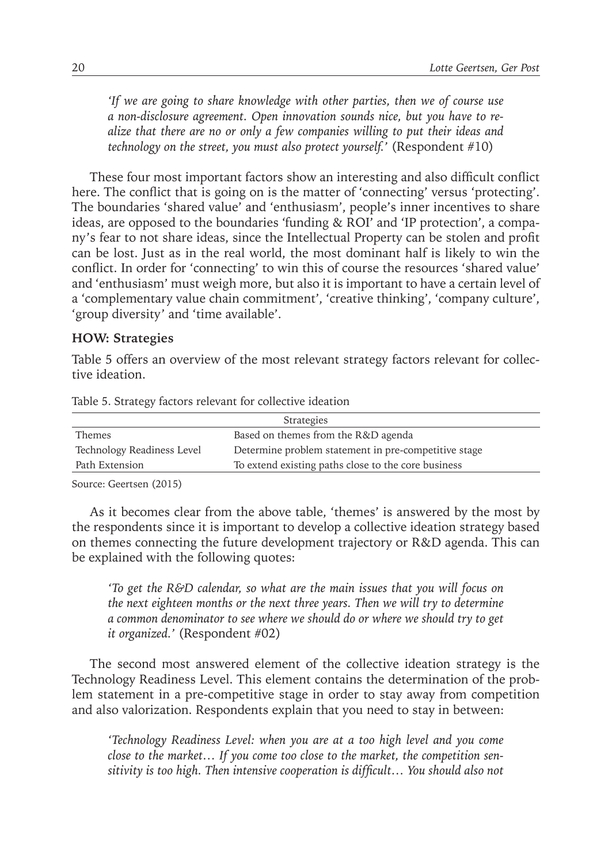*'If we are going to share knowledge with other parties, then we of course use a non-disclosure agreement. Open innovation sounds nice, but you have to realize that there are no or only a few companies willing to put their ideas and technology on the street, you must also protect yourself.'* (Respondent #10)

These four most important factors show an interesting and also difficult conflict here. The conflict that is going on is the matter of 'connecting' versus 'protecting'. The boundaries 'shared value' and 'enthusiasm', people's inner incentives to share ideas, are opposed to the boundaries 'funding & ROI' and 'IP protection', a company's fear to not share ideas, since the Intellectual Property can be stolen and profit can be lost. Just as in the real world, the most dominant half is likely to win the conflict. In order for 'connecting' to win this of course the resources 'shared value' and 'enthusiasm' must weigh more, but also it is important to have a certain level of a 'complementary value chain commitment', 'creative thinking', 'company culture', 'group diversity' and 'time available'.

#### **HOW: Strategies**

Table 5 offers an overview of the most relevant strategy factors relevant for collective ideation.

| Strategies                 |                                                      |  |
|----------------------------|------------------------------------------------------|--|
| Themes                     | Based on themes from the R&D agenda                  |  |
| Technology Readiness Level | Determine problem statement in pre-competitive stage |  |
| Path Extension             | To extend existing paths close to the core business  |  |
|                            |                                                      |  |

Table 5. Strategy factors relevant for collective ideation

Source: Geertsen (2015)

As it becomes clear from the above table, 'themes' is answered by the most by the respondents since it is important to develop a collective ideation strategy based on themes connecting the future development trajectory or R&D agenda. This can be explained with the following quotes:

*'To get the R&D calendar, so what are the main issues that you will focus on the next eighteen months or the next three years. Then we will try to determine a common denominator to see where we should do or where we should try to get it organized.'* (Respondent #02)

The second most answered element of the collective ideation strategy is the Technology Readiness Level. This element contains the determination of the problem statement in a pre-competitive stage in order to stay away from competition and also valorization. Respondents explain that you need to stay in between:

*'Technology Readiness Level: when you are at a too high level and you come close to the market… If you come too close to the market, the competition sensitivity is too high. Then intensive cooperation is difficult… You should also not*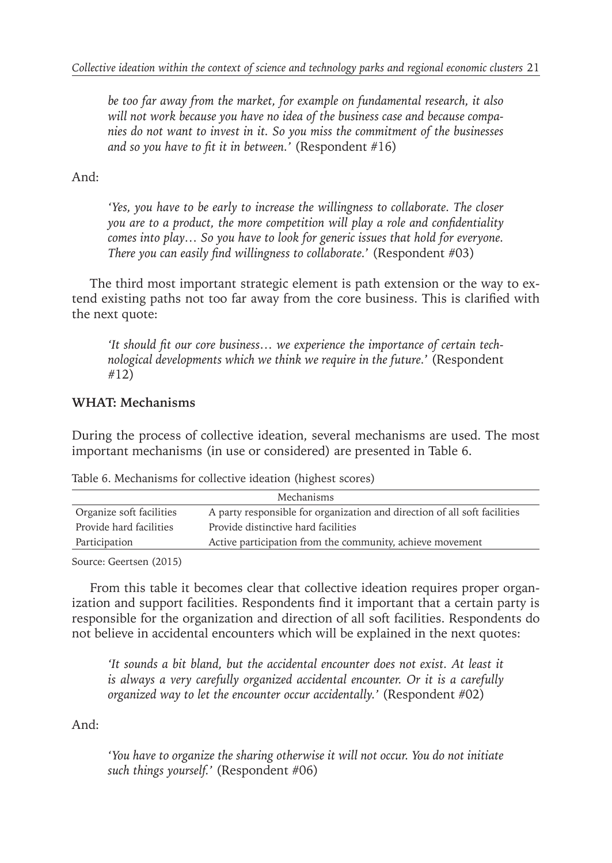*be too far away from the market, for example on fundamental research, it also will not work because you have no idea of the business case and because companies do not want to invest in it. So you miss the commitment of the businesses and so you have to fit it in between.'* (Respondent #16)

And:

*'Yes, you have to be early to increase the willingness to collaborate. The closer you are to a product, the more competition will play a role and confidentiality comes into play… So you have to look for generic issues that hold for everyone. There you can easily find willingness to collaborate.*' (Respondent #03)

The third most important strategic element is path extension or the way to extend existing paths not too far away from the core business. This is clarified with the next quote:

*'It should fit our core business… we experience the importance of certain technological developments which we think we require in the future.*' (Respondent #12)

## **WHAT: Mechanisms**

During the process of collective ideation, several mechanisms are used. The most important mechanisms (in use or considered) are presented in Table 6.

| Mechanisms               |                                                                           |  |
|--------------------------|---------------------------------------------------------------------------|--|
| Organize soft facilities | A party responsible for organization and direction of all soft facilities |  |
| Provide hard facilities  | Provide distinctive hard facilities                                       |  |
| Participation            | Active participation from the community, achieve movement                 |  |

Table 6. Mechanisms for collective ideation (highest scores)

Source: Geertsen (2015)

From this table it becomes clear that collective ideation requires proper organization and support facilities. Respondents find it important that a certain party is responsible for the organization and direction of all soft facilities. Respondents do not believe in accidental encounters which will be explained in the next quotes:

*'It sounds a bit bland, but the accidental encounter does not exist. At least it is always a very carefully organized accidental encounter. Or it is a carefully organized way to let the encounter occur accidentally.'* (Respondent #02)

And:

*'You have to organize the sharing otherwise it will not occur. You do not initiate such things yourself.'* (Respondent #06)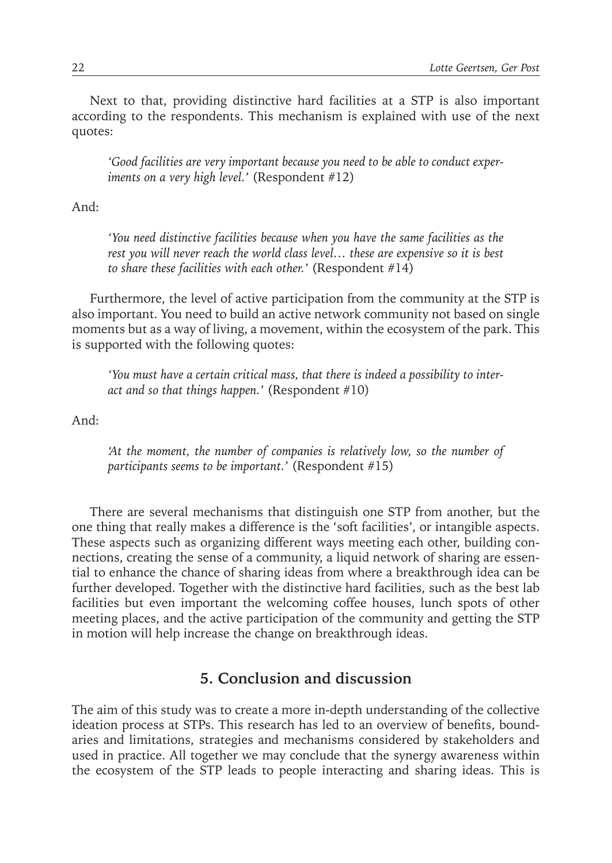Next to that, providing distinctive hard facilities at a STP is also important according to the respondents. This mechanism is explained with use of the next quotes:

*'Good facilities are very important because you need to be able to conduct experiments on a very high level.'* (Respondent #12)

And:

*'You need distinctive facilities because when you have the same facilities as the rest you will never reach the world class level… these are expensive so it is best to share these facilities with each other.'* (Respondent #14)

Furthermore, the level of active participation from the community at the STP is also important. You need to build an active network community not based on single moments but as a way of living, a movement, within the ecosystem of the park. This is supported with the following quotes:

*'You must have a certain critical mass, that there is indeed a possibility to interact and so that things happen.'* (Respondent #10)

And:

*'At the moment, the number of companies is relatively low, so the number of participants seems to be important.'* (Respondent #15)

There are several mechanisms that distinguish one STP from another, but the one thing that really makes a difference is the 'soft facilities', or intangible aspects. These aspects such as organizing different ways meeting each other, building connections, creating the sense of a community, a liquid network of sharing are essential to enhance the chance of sharing ideas from where a breakthrough idea can be further developed. Together with the distinctive hard facilities, such as the best lab facilities but even important the welcoming coffee houses, lunch spots of other meeting places, and the active participation of the community and getting the STP in motion will help increase the change on breakthrough ideas.

## **5. Conclusion and discussion**

The aim of this study was to create a more in-depth understanding of the collective ideation process at STPs. This research has led to an overview of benefits, boundaries and limitations, strategies and mechanisms considered by stakeholders and used in practice. All together we may conclude that the synergy awareness within the ecosystem of the STP leads to people interacting and sharing ideas. This is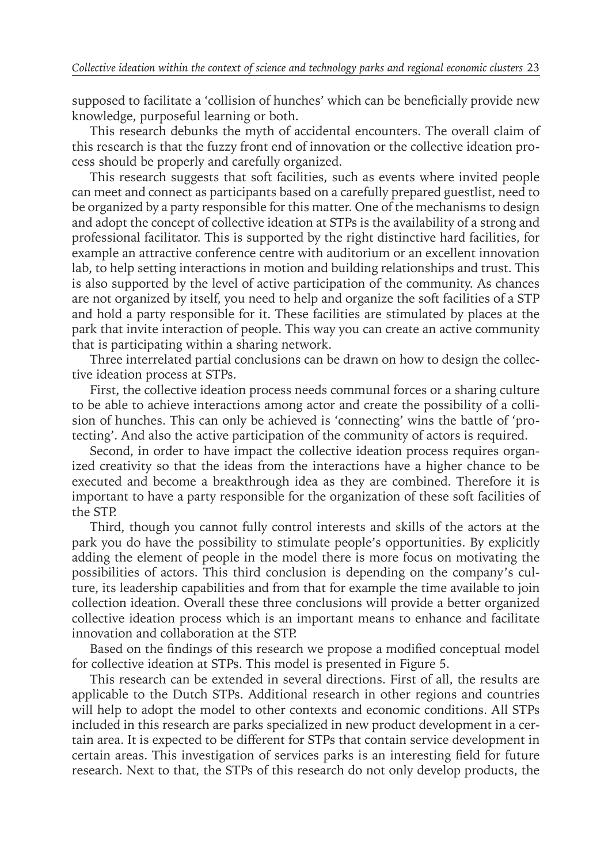supposed to facilitate a 'collision of hunches' which can be beneficially provide new knowledge, purposeful learning or both.

This research debunks the myth of accidental encounters. The overall claim of this research is that the fuzzy front end of innovation or the collective ideation process should be properly and carefully organized.

This research suggests that soft facilities, such as events where invited people can meet and connect as participants based on a carefully prepared guestlist, need to be organized by a party responsible for this matter. One of the mechanisms to design and adopt the concept of collective ideation at STPs is the availability of a strong and professional facilitator. This is supported by the right distinctive hard facilities, for example an attractive conference centre with auditorium or an excellent innovation lab, to help setting interactions in motion and building relationships and trust. This is also supported by the level of active participation of the community. As chances are not organized by itself, you need to help and organize the soft facilities of a STP and hold a party responsible for it. These facilities are stimulated by places at the park that invite interaction of people. This way you can create an active community that is participating within a sharing network.

Three interrelated partial conclusions can be drawn on how to design the collective ideation process at STPs.

First, the collective ideation process needs communal forces or a sharing culture to be able to achieve interactions among actor and create the possibility of a collision of hunches. This can only be achieved is 'connecting' wins the battle of 'protecting'. And also the active participation of the community of actors is required.

Second, in order to have impact the collective ideation process requires organized creativity so that the ideas from the interactions have a higher chance to be executed and become a breakthrough idea as they are combined. Therefore it is important to have a party responsible for the organization of these soft facilities of the STP.

Third, though you cannot fully control interests and skills of the actors at the park you do have the possibility to stimulate people's opportunities. By explicitly adding the element of people in the model there is more focus on motivating the possibilities of actors. This third conclusion is depending on the company's culture, its leadership capabilities and from that for example the time available to join collection ideation. Overall these three conclusions will provide a better organized collective ideation process which is an important means to enhance and facilitate innovation and collaboration at the STP.

Based on the findings of this research we propose a modified conceptual model for collective ideation at STPs. This model is presented in Figure 5.

This research can be extended in several directions. First of all, the results are applicable to the Dutch STPs. Additional research in other regions and countries will help to adopt the model to other contexts and economic conditions. All STPs included in this research are parks specialized in new product development in a certain area. It is expected to be different for STPs that contain service development in certain areas. This investigation of services parks is an interesting field for future research. Next to that, the STPs of this research do not only develop products, the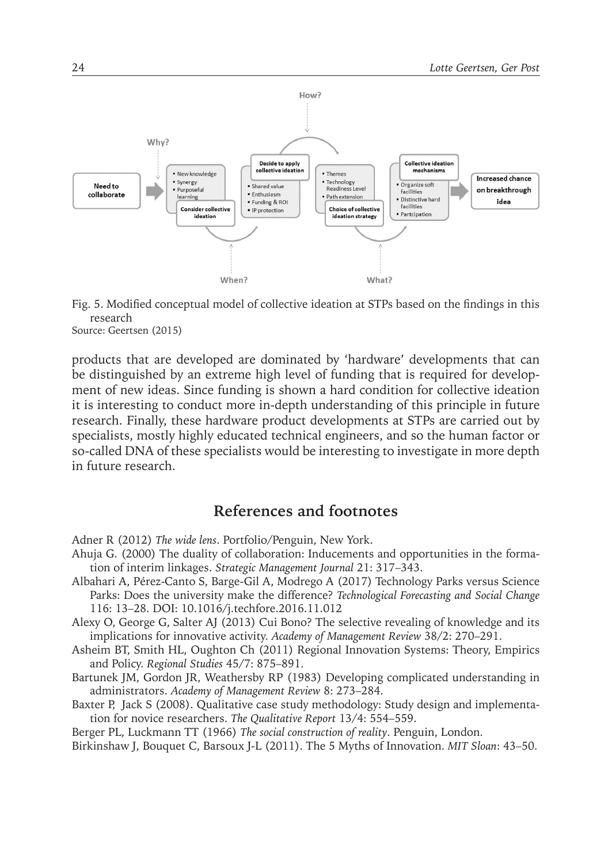

Fig. 5. Modified conceptual model of collective ideation at STPs based on the findings in this research

Source: Geertsen (2015)

products that are developed are dominated by 'hardware' developments that can be distinguished by an extreme high level of funding that is required for development of new ideas. Since funding is shown a hard condition for collective ideation it is interesting to conduct more in-depth understanding of this principle in future research. Finally, these hardware product developments at STPs are carried out by specialists, mostly highly educated technical engineers, and so the human factor or so-called DNA of these specialists would be interesting to investigate in more depth in future research.

## **References and footnotes**

- Adner R (2012) *The wide lens*. Portfolio/Penguin, New York.
- Ahuja G. (2000) The duality of collaboration: Inducements and opportunities in the formation of interim linkages. *Strategic Management Journal* 21: 317–343.
- Albahari A, Pérez-Canto S, Barge-Gil A, Modrego A (2017) Technology Parks versus Science Parks: Does the university make the difference? *Technological Forecasting and Social Change* 116: 13–28. DOI: 10.1016/j.techfore.2016.11.012
- Alexy O, George G, Salter AJ (2013) Cui Bono? The selective revealing of knowledge and its implications for innovative activity. *Academy of Management Review* 38/2: 270–291.
- Asheim BT, Smith HL, Oughton Ch (2011) Regional Innovation Systems: Theory, Empirics and Policy. *Regional Studies* 45/7: 875–891.
- Bartunek JM, Gordon JR, Weathersby RP (1983) Developing complicated understanding in administrators. *Academy of Management Review* 8: 273–284.
- Baxter P, Jack S (2008). Qualitative case study methodology: Study design and implementation for novice researchers. *The Qualitative Report* 13/4: 554–559.

Berger PL, Luckmann TT (1966) *The social construction of reality*. Penguin, London.

Birkinshaw J, Bouquet C, Barsoux J-L (2011). The 5 Myths of Innovation. *MIT Sloan*: 43–50.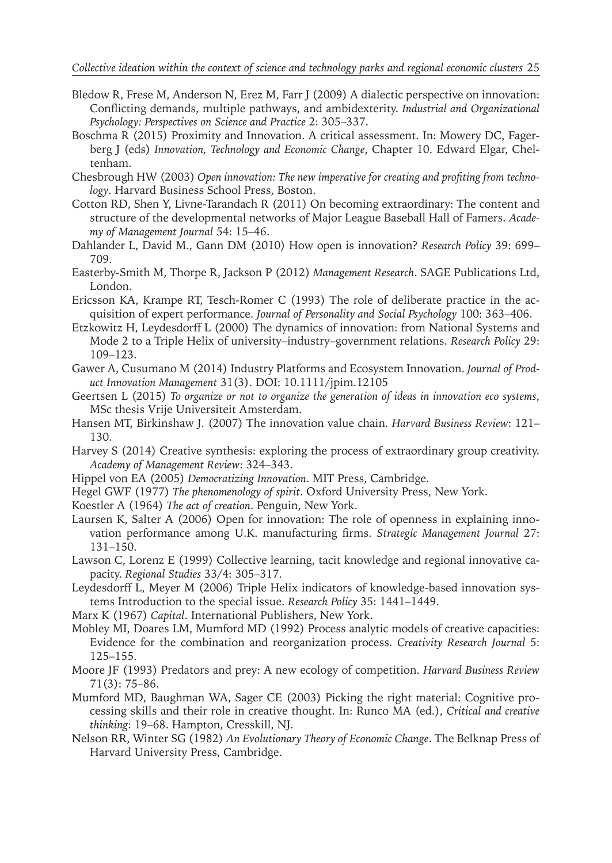#### *Collective ideation within the context of science and technology parks and regional economic clusters* 25

- Bledow R, Frese M, Anderson N, Erez M, Farr J (2009) A dialectic perspective on innovation: Conflicting demands, multiple pathways, and ambidexterity. *Industrial and Organizational Psychology: Perspectives on Science and Practice* 2: 305–337.
- Boschma R (2015) Proximity and Innovation. A critical assessment. In: Mowery DC, Fagerberg J (eds) *Innovation, Technology and Economic Change*, Chapter 10. Edward Elgar, Cheltenham.
- Chesbrough HW (2003) *Open innovation: The new imperative for creating and profiting from technology*. Harvard Business School Press, Boston.
- Cotton RD, Shen Y, Livne-Tarandach R (2011) On becoming extraordinary: The content and structure of the developmental networks of Major League Baseball Hall of Famers. *Academy of Management Journal* 54: 15–46.
- Dahlander L, David M., Gann DM (2010) How open is innovation? *Research Policy* 39: 699– 709.
- Easterby-Smith M, Thorpe R, Jackson P (2012) *Management Research*. SAGE Publications Ltd, London.
- Ericsson KA, Krampe RT, Tesch-Romer C (1993) The role of deliberate practice in the acquisition of expert performance. *Journal of Personality and Social Psychology* 100: 363–406.
- Etzkowitz H, Leydesdorff L (2000) The dynamics of innovation: from National Systems and Mode 2 to a Triple Helix of university–industry–government relations. *Research Policy* 29: 109–123.
- Gawer A, Cusumano M (2014) Industry Platforms and Ecosystem Innovation. *Journal of Product Innovation Management* 31(3). DOI: 10.1111/jpim.12105
- Geertsen L (2015) *To organize or not to organize the generation of ideas in innovation eco systems*, MSc thesis Vrije Universiteit Amsterdam.
- Hansen MT, Birkinshaw J. (2007) The innovation value chain. *Harvard Business Review*: 121– 130.
- Harvey S (2014) Creative synthesis: exploring the process of extraordinary group creativity. *Academy of Management Review*: 324–343.
- Hippel von EA (2005) *Democratizing Innovation*. MIT Press, Cambridge.
- Hegel GWF (1977) *The phenomenology of spirit*. Oxford University Press, New York.
- Koestler A (1964) *The act of creation*. Penguin, New York.
- Laursen K, Salter A (2006) Open for innovation: The role of openness in explaining innovation performance among U.K. manufacturing firms. *Strategic Management Journal* 27: 131–150.
- Lawson C, Lorenz E (1999) Collective learning, tacit knowledge and regional innovative capacity. *Regional Studies* 33/4: 305–317.
- Leydesdorff L, Meyer M (2006) Triple Helix indicators of knowledge-based innovation systems Introduction to the special issue. *Research Policy* 35: 1441–1449.
- Marx K (1967) *Capital*. International Publishers, New York.
- Mobley MI, Doares LM, Mumford MD (1992) Process analytic models of creative capacities: Evidence for the combination and reorganization process. *Creativity Research Journal* 5: 125–155.
- Moore JF (1993) Predators and prey: A new ecology of competition. *Harvard Business Review* 71(3): 75–86.
- Mumford MD, Baughman WA, Sager CE (2003) Picking the right material: Cognitive processing skills and their role in creative thought. In: Runco MA (ed.), *Critical and creative thinking*: 19–68. Hampton, Cresskill, NJ.
- Nelson RR, Winter SG (1982) *An Evolutionary Theory of Economic Change*. The Belknap Press of Harvard University Press, Cambridge.